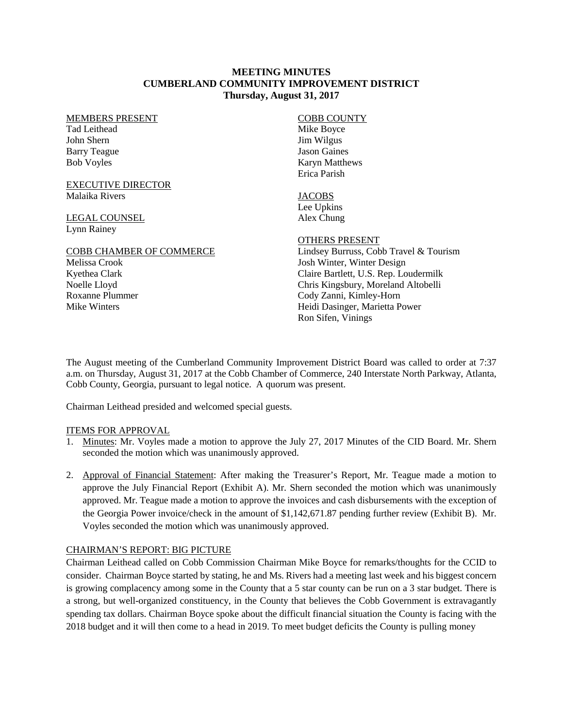#### **MEETING MINUTES CUMBERLAND COMMUNITY IMPROVEMENT DISTRICT Thursday, August 31, 2017**

#### MEMBERS PRESENT

Tad Leithead John Shern Barry Teague Bob Voyles

EXECUTIVE DIRECTOR Malaika Rivers

LEGAL COUNSEL Lynn Rainey

Mike Winters

#### COBB CHAMBER OF COMMERCE Melissa Crook Kyethea Clark Noelle Lloyd Roxanne Plummer

COBB COUNTY Mike Boyce Jim Wilgus Jason Gaines Karyn Matthews Erica Parish

**JACOBS** Lee Upkins Alex Chung

## OTHERS PRESENT

Lindsey Burruss, Cobb Travel & Tourism Josh Winter, Winter Design Claire Bartlett, U.S. Rep. Loudermilk Chris Kingsbury, Moreland Altobelli Cody Zanni, Kimley-Horn Heidi Dasinger, Marietta Power Ron Sifen, Vinings

The August meeting of the Cumberland Community Improvement District Board was called to order at 7:37 a.m. on Thursday, August 31, 2017 at the Cobb Chamber of Commerce, 240 Interstate North Parkway, Atlanta, Cobb County, Georgia, pursuant to legal notice. A quorum was present.

Chairman Leithead presided and welcomed special guests.

## ITEMS FOR APPROVAL

- 1. Minutes: Mr. Voyles made a motion to approve the July 27, 2017 Minutes of the CID Board. Mr. Shern seconded the motion which was unanimously approved.
- 2. Approval of Financial Statement: After making the Treasurer's Report, Mr. Teague made a motion to approve the July Financial Report (Exhibit A). Mr. Shern seconded the motion which was unanimously approved. Mr. Teague made a motion to approve the invoices and cash disbursements with the exception of the Georgia Power invoice/check in the amount of \$1,142,671.87 pending further review (Exhibit B). Mr. Voyles seconded the motion which was unanimously approved.

## CHAIRMAN'S REPORT: BIG PICTURE

Chairman Leithead called on Cobb Commission Chairman Mike Boyce for remarks/thoughts for the CCID to consider. Chairman Boyce started by stating, he and Ms. Rivers had a meeting last week and his biggest concern is growing complacency among some in the County that a 5 star county can be run on a 3 star budget. There is a strong, but well-organized constituency, in the County that believes the Cobb Government is extravagantly spending tax dollars. Chairman Boyce spoke about the difficult financial situation the County is facing with the 2018 budget and it will then come to a head in 2019. To meet budget deficits the County is pulling money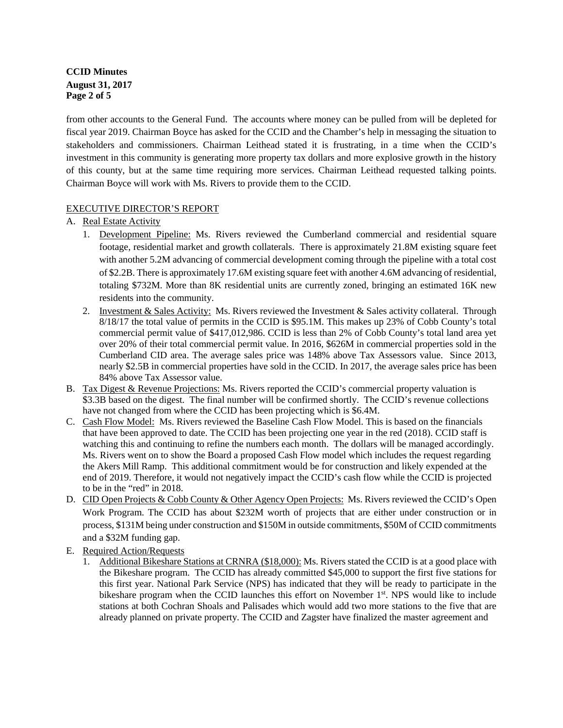# **CCID Minutes August 31, 2017 Page 2 of 5**

from other accounts to the General Fund. The accounts where money can be pulled from will be depleted for fiscal year 2019. Chairman Boyce has asked for the CCID and the Chamber's help in messaging the situation to stakeholders and commissioners. Chairman Leithead stated it is frustrating, in a time when the CCID's investment in this community is generating more property tax dollars and more explosive growth in the history of this county, but at the same time requiring more services. Chairman Leithead requested talking points. Chairman Boyce will work with Ms. Rivers to provide them to the CCID.

## EXECUTIVE DIRECTOR'S REPORT

## A. Real Estate Activity

- 1. Development Pipeline: Ms. Rivers reviewed the Cumberland commercial and residential square footage, residential market and growth collaterals. There is approximately 21.8M existing square feet with another 5.2M advancing of commercial development coming through the pipeline with a total cost of \$2.2B. There is approximately 17.6M existing square feet with another 4.6M advancing of residential, totaling \$732M. More than 8K residential units are currently zoned, bringing an estimated 16K new residents into the community.
- 2. Investment & Sales Activity: Ms. Rivers reviewed the Investment & Sales activity collateral. Through 8/18/17 the total value of permits in the CCID is \$95.1M. This makes up 23% of Cobb County's total commercial permit value of \$417,012,986. CCID is less than 2% of Cobb County's total land area yet over 20% of their total commercial permit value. In 2016, \$626M in commercial properties sold in the Cumberland CID area. The average sales price was 148% above Tax Assessors value. Since 2013, nearly \$2.5B in commercial properties have sold in the CCID. In 2017, the average sales price has been 84% above Tax Assessor value.
- B. Tax Digest & Revenue Projections: Ms. Rivers reported the CCID's commercial property valuation is \$3.3B based on the digest. The final number will be confirmed shortly. The CCID's revenue collections have not changed from where the CCID has been projecting which is \$6.4M.
- C. Cash Flow Model: Ms. Rivers reviewed the Baseline Cash Flow Model. This is based on the financials that have been approved to date. The CCID has been projecting one year in the red (2018). CCID staff is watching this and continuing to refine the numbers each month. The dollars will be managed accordingly. Ms. Rivers went on to show the Board a proposed Cash Flow model which includes the request regarding the Akers Mill Ramp. This additional commitment would be for construction and likely expended at the end of 2019. Therefore, it would not negatively impact the CCID's cash flow while the CCID is projected to be in the "red" in 2018.
- D. CID Open Projects & Cobb County & Other Agency Open Projects: Ms. Rivers reviewed the CCID's Open Work Program. The CCID has about \$232M worth of projects that are either under construction or in process, \$131M being under construction and \$150M in outside commitments, \$50M of CCID commitments and a \$32M funding gap.
- E. Required Action/Requests
	- 1. Additional Bikeshare Stations at CRNRA (\$18,000): Ms. Rivers stated the CCID is at a good place with the Bikeshare program. The CCID has already committed \$45,000 to support the first five stations for this first year. National Park Service (NPS) has indicated that they will be ready to participate in the bikeshare program when the CCID launches this effort on November 1<sup>st</sup>. NPS would like to include stations at both Cochran Shoals and Palisades which would add two more stations to the five that are already planned on private property. The CCID and Zagster have finalized the master agreement and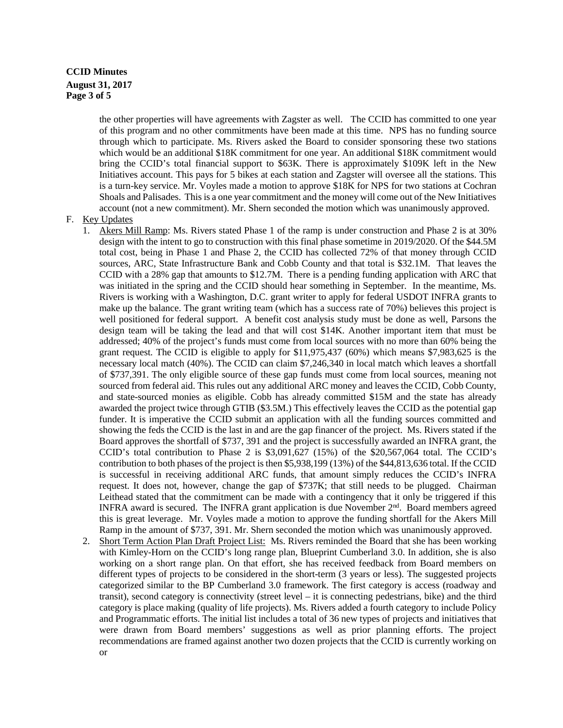## **CCID Minutes August 31, 2017 Page 3 of 5**

the other properties will have agreements with Zagster as well. The CCID has committed to one year of this program and no other commitments have been made at this time. NPS has no funding source through which to participate. Ms. Rivers asked the Board to consider sponsoring these two stations which would be an additional \$18K commitment for one year. An additional \$18K commitment would bring the CCID's total financial support to \$63K. There is approximately \$109K left in the New Initiatives account. This pays for 5 bikes at each station and Zagster will oversee all the stations. This is a turn-key service. Mr. Voyles made a motion to approve \$18K for NPS for two stations at Cochran Shoals and Palisades. This is a one year commitment and the money will come out of the New Initiatives account (not a new commitment). Mr. Shern seconded the motion which was unanimously approved.

#### F. Key Updates

- 1. Akers Mill Ramp: Ms. Rivers stated Phase 1 of the ramp is under construction and Phase 2 is at 30% design with the intent to go to construction with this final phase sometime in 2019/2020. Of the \$44.5M total cost, being in Phase 1 and Phase 2, the CCID has collected 72% of that money through CCID sources, ARC, State Infrastructure Bank and Cobb County and that total is \$32.1M. That leaves the CCID with a 28% gap that amounts to \$12.7M. There is a pending funding application with ARC that was initiated in the spring and the CCID should hear something in September. In the meantime, Ms. Rivers is working with a Washington, D.C. grant writer to apply for federal USDOT INFRA grants to make up the balance. The grant writing team (which has a success rate of 70%) believes this project is well positioned for federal support. A benefit cost analysis study must be done as well, Parsons the design team will be taking the lead and that will cost \$14K. Another important item that must be addressed; 40% of the project's funds must come from local sources with no more than 60% being the grant request. The CCID is eligible to apply for \$11,975,437 (60%) which means \$7,983,625 is the necessary local match (40%). The CCID can claim \$7,246,340 in local match which leaves a shortfall of \$737,391. The only eligible source of these gap funds must come from local sources, meaning not sourced from federal aid. This rules out any additional ARC money and leaves the CCID, Cobb County, and state-sourced monies as eligible. Cobb has already committed \$15M and the state has already awarded the project twice through GTIB (\$3.5M.) This effectively leaves the CCID as the potential gap funder. It is imperative the CCID submit an application with all the funding sources committed and showing the feds the CCID is the last in and are the gap financer of the project. Ms. Rivers stated if the Board approves the shortfall of \$737, 391 and the project is successfully awarded an INFRA grant, the CCID's total contribution to Phase 2 is \$3,091,627 (15%) of the \$20,567,064 total. The CCID's contribution to both phases of the project is then \$5,938,199 (13%) of the \$44,813,636 total. If the CCID is successful in receiving additional ARC funds, that amount simply reduces the CCID's INFRA request. It does not, however, change the gap of \$737K; that still needs to be plugged. Chairman Leithead stated that the commitment can be made with a contingency that it only be triggered if this INFRA award is secured. The INFRA grant application is due November  $2<sup>nd</sup>$ . Board members agreed this is great leverage. Mr. Voyles made a motion to approve the funding shortfall for the Akers Mill Ramp in the amount of \$737, 391. Mr. Shern seconded the motion which was unanimously approved.
- 2. Short Term Action Plan Draft Project List: Ms. Rivers reminded the Board that she has been working with Kimley-Horn on the CCID's long range plan, Blueprint Cumberland 3.0. In addition, she is also working on a short range plan. On that effort, she has received feedback from Board members on different types of projects to be considered in the short-term (3 years or less). The suggested projects categorized similar to the BP Cumberland 3.0 framework. The first category is access (roadway and transit), second category is connectivity (street level – it is connecting pedestrians, bike) and the third category is place making (quality of life projects). Ms. Rivers added a fourth category to include Policy and Programmatic efforts. The initial list includes a total of 36 new types of projects and initiatives that were drawn from Board members' suggestions as well as prior planning efforts. The project recommendations are framed against another two dozen projects that the CCID is currently working on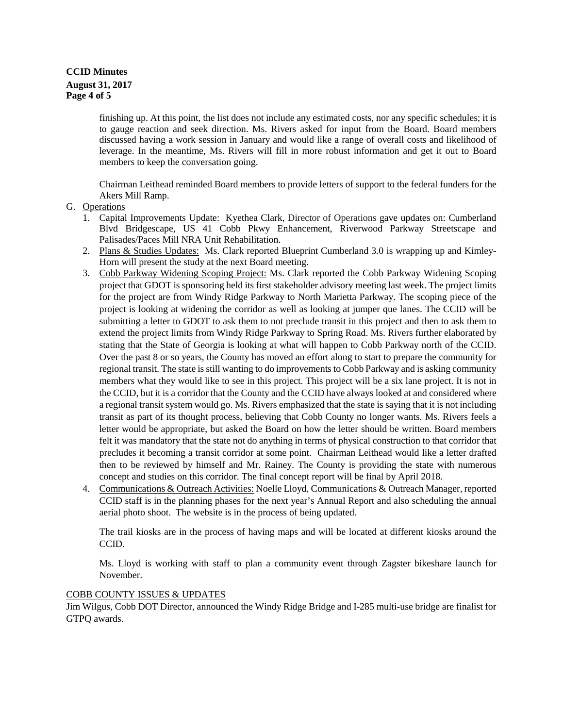# **CCID Minutes August 31, 2017 Page 4 of 5**

finishing up. At this point, the list does not include any estimated costs, nor any specific schedules; it is to gauge reaction and seek direction. Ms. Rivers asked for input from the Board. Board members discussed having a work session in January and would like a range of overall costs and likelihood of leverage. In the meantime, Ms. Rivers will fill in more robust information and get it out to Board members to keep the conversation going.

Chairman Leithead reminded Board members to provide letters of support to the federal funders for the Akers Mill Ramp.

#### G. Operations

- 1. Capital Improvements Update:Kyethea Clark, Director of Operations gave updates on: Cumberland Blvd Bridgescape, US 41 Cobb Pkwy Enhancement, Riverwood Parkway Streetscape and Palisades/Paces Mill NRA Unit Rehabilitation.
- 2. Plans & Studies Updates: Ms. Clark reported Blueprint Cumberland 3.0 is wrapping up and Kimley-Horn will present the study at the next Board meeting.
- 3. Cobb Parkway Widening Scoping Project: Ms. Clark reported the Cobb Parkway Widening Scoping project that GDOT is sponsoring held its first stakeholder advisory meeting last week. The project limits for the project are from Windy Ridge Parkway to North Marietta Parkway. The scoping piece of the project is looking at widening the corridor as well as looking at jumper que lanes. The CCID will be submitting a letter to GDOT to ask them to not preclude transit in this project and then to ask them to extend the project limits from Windy Ridge Parkway to Spring Road. Ms. Rivers further elaborated by stating that the State of Georgia is looking at what will happen to Cobb Parkway north of the CCID. Over the past 8 or so years, the County has moved an effort along to start to prepare the community for regional transit. The state is still wanting to do improvements to Cobb Parkway and is asking community members what they would like to see in this project. This project will be a six lane project. It is not in the CCID, but it is a corridor that the County and the CCID have always looked at and considered where a regional transit system would go. Ms. Rivers emphasized that the state is saying that it is not including transit as part of its thought process, believing that Cobb County no longer wants. Ms. Rivers feels a letter would be appropriate, but asked the Board on how the letter should be written. Board members felt it was mandatory that the state not do anything in terms of physical construction to that corridor that precludes it becoming a transit corridor at some point. Chairman Leithead would like a letter drafted then to be reviewed by himself and Mr. Rainey. The County is providing the state with numerous concept and studies on this corridor. The final concept report will be final by April 2018.
- 4. Communications & Outreach Activities: Noelle Lloyd, Communications & Outreach Manager, reported CCID staff is in the planning phases for the next year's Annual Report and also scheduling the annual aerial photo shoot. The website is in the process of being updated.

The trail kiosks are in the process of having maps and will be located at different kiosks around the CCID.

Ms. Lloyd is working with staff to plan a community event through Zagster bikeshare launch for November.

## COBB COUNTY ISSUES & UPDATES

Jim Wilgus, Cobb DOT Director, announced the Windy Ridge Bridge and I-285 multi-use bridge are finalist for GTPQ awards.